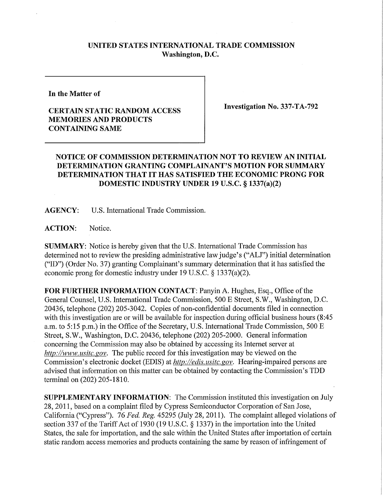## **UNITED STATES INTERNATIONAL TRADE COMMISSION Washington, D.C.**

**In the Matter of** 

## **CERTAIN STATIC RANDOM ACCESS MEMORIES AND PRODUCTS CONTAINING SAME**

**Investigation No. 337-TA-792** 

## **NOTICE OF COMMISSION DETERMINATION NOT TO REVIEW AN INITIAL DETERMINATION GRANTING COMPLAINANT'S MOTION FOR SUMMARY DETERMINATION THAT IT HAS SATISFIED THE ECONOMIC PRONG FOR DOMESTIC INDUSTRY UNDER 19 U.S.C. § 1337(a)(2)**

**AGENCY:** U.S. International Trade Commission.

**ACTION:** Notice.

**SUMMARY:** Notice is hereby given that the U.S. International Trade Commission has determined not to review the presiding administrative law judge's ("ALJ") initial determination ("ID") (Order No. 37) granting Complainant's summary determination that it has satisfied the economic prong for domestic industry under 19 U.S.C. § 1337(a)(2).

**FOR FURTHER INFORMATION CONTACT:** Panyin A. Hughes, Esq., Office of the General Counsel, U.S. International Trade Commission, 500 E Street, S.W., Washington, D.C. 20436, telephone (202) 205-3042. Copies of non-confidential documents filed in connection with this investigation are or will be available for inspection during official business hours (8:45 a.m. to 5:15 p.m.) in the Office of the Secretary, U.S. International Trade Commission, 500 E Street, S.W., Washington, D.C. 20436, telephone (202) 205-2000. General information concerning the Commission may also be obtained by accessing its Internet server at *http://www, usitc. gov.* The public record for this investigation may be viewed on the Commission's electronic docket (EDIS) at *http://edis. usitc.gov.* Hearing-impaired persons are advised that information on this matter can be obtained by contacting the Commission's TDD terminal on (202) 205-1810.

**SUPPLEMENTARY INFORMATION:** The Commission instituted this investigation on July 28, 2011, based on a complaint filed by Cypress Semiconductor Corporation of San Jose, California ("Cypress"). 76 *Fed. Reg.* 45295 (July 28, 2011). The complaint alleged violations of section 337 of the Tariff Act of 1930 (19 U.S.C. § 1337) in the importation into the United States, the sale for importation, and the sale within the United States after importation of certain static random access memories and products containing the same by reason of infringement of